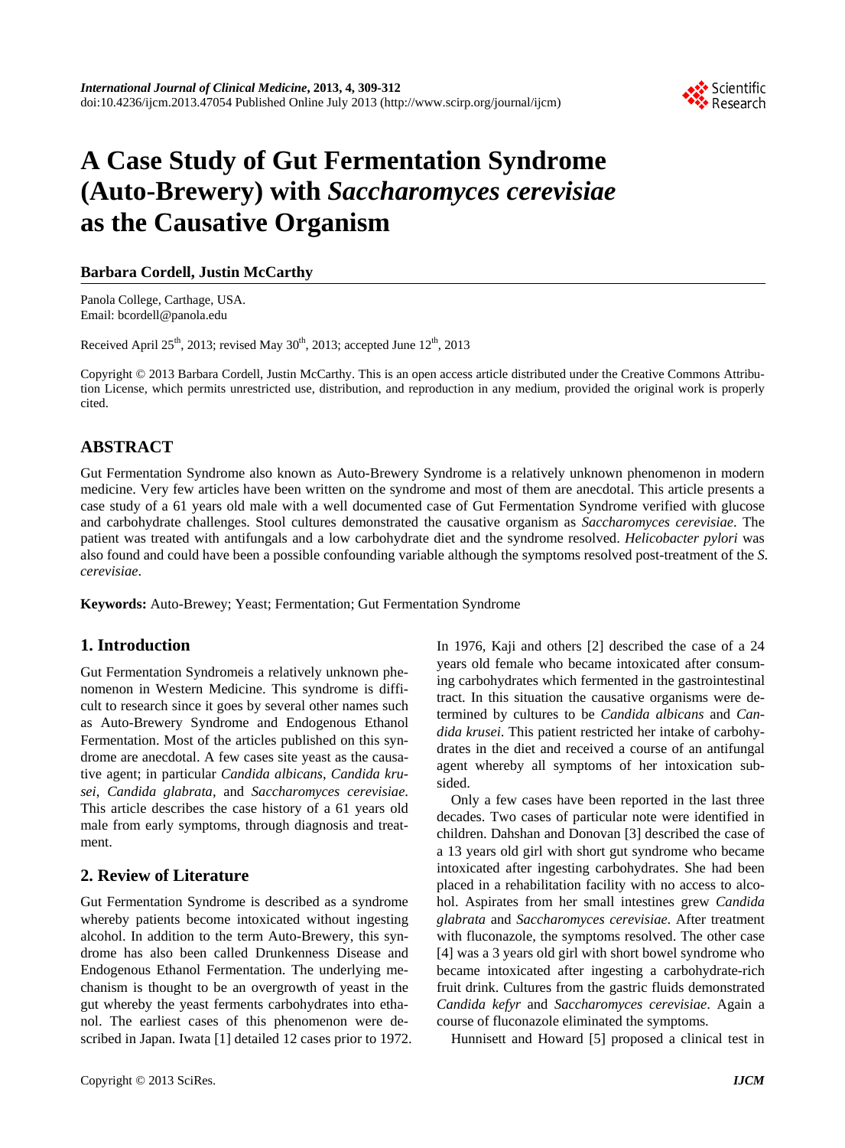

# **A Case Study of Gut Fermentation Syndrome (Auto-Brewery) with** *Saccharomyces cerevisiae* **as the Causative Organism**

### **Barbara Cordell, Justin McCarthy**

Panola College, Carthage, USA. Email: bcordell@panola.edu

Received April 25<sup>th</sup>, 2013; revised May  $30<sup>th</sup>$ , 2013; accepted June  $12<sup>th</sup>$ , 2013

Copyright © 2013 Barbara Cordell, Justin McCarthy. This is an open access article distributed under the Creative Commons Attribution License, which permits unrestricted use, distribution, and reproduction in any medium, provided the original work is properly cited.

# **ABSTRACT**

Gut Fermentation Syndrome also known as Auto-Brewery Syndrome is a relatively unknown phenomenon in modern medicine. Very few articles have been written on the syndrome and most of them are anecdotal. This article presents a case study of a 61 years old male with a well documented case of Gut Fermentation Syndrome verified with glucose and carbohydrate challenges. Stool cultures demonstrated the causative organism as *Saccharomyces cerevisiae*. The patient was treated with antifungals and a low carbohydrate diet and the syndrome resolved. *Helicobacter pylori* was also found and could have been a possible confounding variable although the symptoms resolved post-treatment of the *S. cerevisiae*.

**Keywords:** Auto-Brewey; Yeast; Fermentation; Gut Fermentation Syndrome

### **1. Introduction**

Gut Fermentation Syndromeis a relatively unknown phenomenon in Western Medicine. This syndrome is difficult to research since it goes by several other names such as Auto-Brewery Syndrome and Endogenous Ethanol Fermentation. Most of the articles published on this syndrome are anecdotal. A few cases site yeast as the causative agent; in particular *Candida albicans*, *Candida krusei*, *Candida glabrata*, and *Saccharomyces cerevisiae*. This article describes the case history of a 61 years old male from early symptoms, through diagnosis and treatment.

# **2. Review of Literature**

Gut Fermentation Syndrome is described as a syndrome whereby patients become intoxicated without ingesting alcohol. In addition to the term Auto-Brewery, this syndrome has also been called Drunkenness Disease and Endogenous Ethanol Fermentation. The underlying mechanism is thought to be an overgrowth of yeast in the gut whereby the yeast ferments carbohydrates into ethanol. The earliest cases of this phenomenon were described in Japan. Iwata [1] detailed 12 cases prior to 1972.

Copyright © 2013 SciRes. *IJCM* 

In 1976, Kaji and others [2] described the case of a 24 years old female who became intoxicated after consuming carbohydrates which fermented in the gastrointestinal tract. In this situation the causative organisms were determined by cultures to be *Candida albicans* and *Candida krusei*. This patient restricted her intake of carbohydrates in the diet and received a course of an antifungal agent whereby all symptoms of her intoxication subsided.

Only a few cases have been reported in the last three decades. Two cases of particular note were identified in children. Dahshan and Donovan [3] described the case of a 13 years old girl with short gut syndrome who became intoxicated after ingesting carbohydrates. She had been placed in a rehabilitation facility with no access to alcohol. Aspirates from her small intestines grew *Candida glabrata* and *Saccharomyces cerevisiae*. After treatment with fluconazole, the symptoms resolved. The other case [4] was a 3 years old girl with short bowel syndrome who became intoxicated after ingesting a carbohydrate-rich fruit drink. Cultures from the gastric fluids demonstrated *Candida kefyr* and *Saccharomyces cerevisiae*. Again a course of fluconazole eliminated the symptoms.

Hunnisett and Howard [5] proposed a clinical test in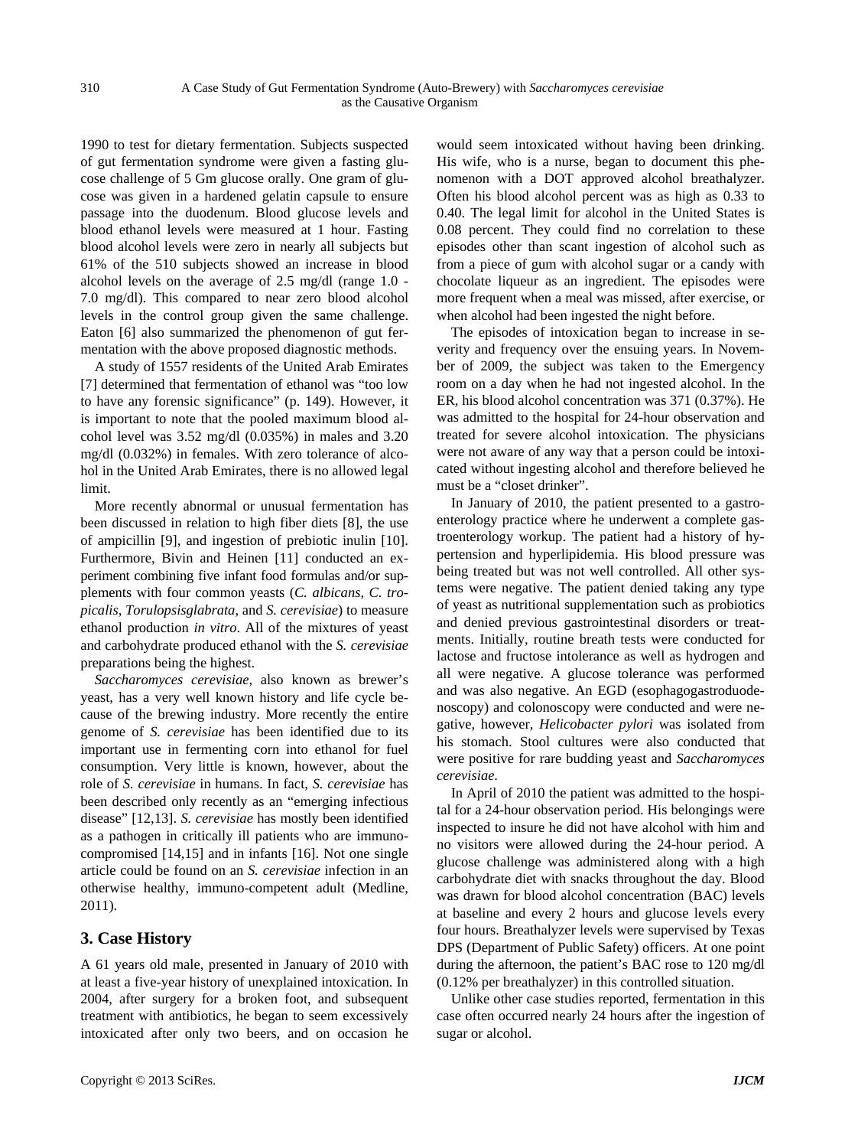1990 to test for dietary fermentation. Subjects suspected of gut fermentation syndrome were given a fasting glucose challenge of 5 Gm glucose orally. One gram of glucose was given in a hardened gelatin capsule to ensure passage into the duodenum. Blood glucose levels and blood ethanol levels were measured at 1 hour. Fasting blood alcohol levels were zero in nearly all subjects but 61% of the 510 subjects showed an increase in blood alcohol levels on the average of 2.5 mg/dl (range 1.0 - 7.0 mg/dl). This compared to near zero blood alcohol levels in the control group given the same challenge. Eaton [6] also summarized the phenomenon of gut fermentation with the above proposed diagnostic methods.

A study of 1557 residents of the United Arab Emirates [7] determined that fermentation of ethanol was "too low to have any forensic significance" (p. 149). However, it is important to note that the pooled maximum blood alcohol level was 3.52 mg/dl (0.035%) in males and 3.20 mg/dl (0.032%) in females. With zero tolerance of alcohol in the United Arab Emirates, there is no allowed legal limit.

More recently abnormal or unusual fermentation has been discussed in relation to high fiber diets [8], the use of ampicillin [9], and ingestion of prebiotic inulin [10]. Furthermore, Bivin and Heinen [11] conducted an experiment combining five infant food formulas and/or supplements with four common yeasts (*C. albicans*, *C. tropicalis*, *Torulopsisglabrata*, and *S. cerevisiae*) to measure ethanol production *in vitro*. All of the mixtures of yeast and carbohydrate produced ethanol with the *S. cerevisiae* preparations being the highest.

*Saccharomyces cerevisiae*, also known as brewer's yeast, has a very well known history and life cycle because of the brewing industry. More recently the entire genome of *S. cerevisiae* has been identified due to its important use in fermenting corn into ethanol for fuel consumption. Very little is known, however, about the role of *S. cerevisiae* in humans. In fact, *S. cerevisiae* has been described only recently as an "emerging infectious disease" [12,13]. *S. cerevisiae* has mostly been identified as a pathogen in critically ill patients who are immunocompromised [14,15] and in infants [16]. Not one single article could be found on an *S. cerevisiae* infection in an otherwise healthy, immuno-competent adult (Medline, 2011).

### **3. Case History**

A 61 years old male, presented in January of 2010 with at least a five-year history of unexplained intoxication. In 2004, after surgery for a broken foot, and subsequent treatment with antibiotics, he began to seem excessively intoxicated after only two beers, and on occasion he

would seem intoxicated without having been drinking. His wife, who is a nurse, began to document this phenomenon with a DOT approved alcohol breathalyzer. Often his blood alcohol percent was as high as 0.33 to 0.40. The legal limit for alcohol in the United States is 0.08 percent. They could find no correlation to these episodes other than scant ingestion of alcohol such as from a piece of gum with alcohol sugar or a candy with chocolate liqueur as an ingredient. The episodes were more frequent when a meal was missed, after exercise, or when alcohol had been ingested the night before.

The episodes of intoxication began to increase in severity and frequency over the ensuing years. In November of 2009, the subject was taken to the Emergency room on a day when he had not ingested alcohol. In the ER, his blood alcohol concentration was 371 (0.37%). He was admitted to the hospital for 24-hour observation and treated for severe alcohol intoxication. The physicians were not aware of any way that a person could be intoxicated without ingesting alcohol and therefore believed he must be a "closet drinker".

In January of 2010, the patient presented to a gastroenterology practice where he underwent a complete gastroenterology workup. The patient had a history of hypertension and hyperlipidemia. His blood pressure was being treated but was not well controlled. All other systems were negative. The patient denied taking any type of yeast as nutritional supplementation such as probiotics and denied previous gastrointestinal disorders or treatments. Initially, routine breath tests were conducted for lactose and fructose intolerance as well as hydrogen and all were negative. A glucose tolerance was performed and was also negative. An EGD (esophagogastroduodenoscopy) and colonoscopy were conducted and were negative, however, *Helicobacter pylori* was isolated from his stomach. Stool cultures were also conducted that were positive for rare budding yeast and *Saccharomyces cerevisiae*.

In April of 2010 the patient was admitted to the hospital for a 24-hour observation period. His belongings were inspected to insure he did not have alcohol with him and no visitors were allowed during the 24-hour period. A glucose challenge was administered along with a high carbohydrate diet with snacks throughout the day. Blood was drawn for blood alcohol concentration (BAC) levels at baseline and every 2 hours and glucose levels every four hours. Breathalyzer levels were supervised by Texas DPS (Department of Public Safety) officers. At one point during the afternoon, the patient's BAC rose to 120 mg/dl (0.12% per breathalyzer) in this controlled situation.

Unlike other case studies reported, fermentation in this case often occurred nearly 24 hours after the ingestion of sugar or alcohol.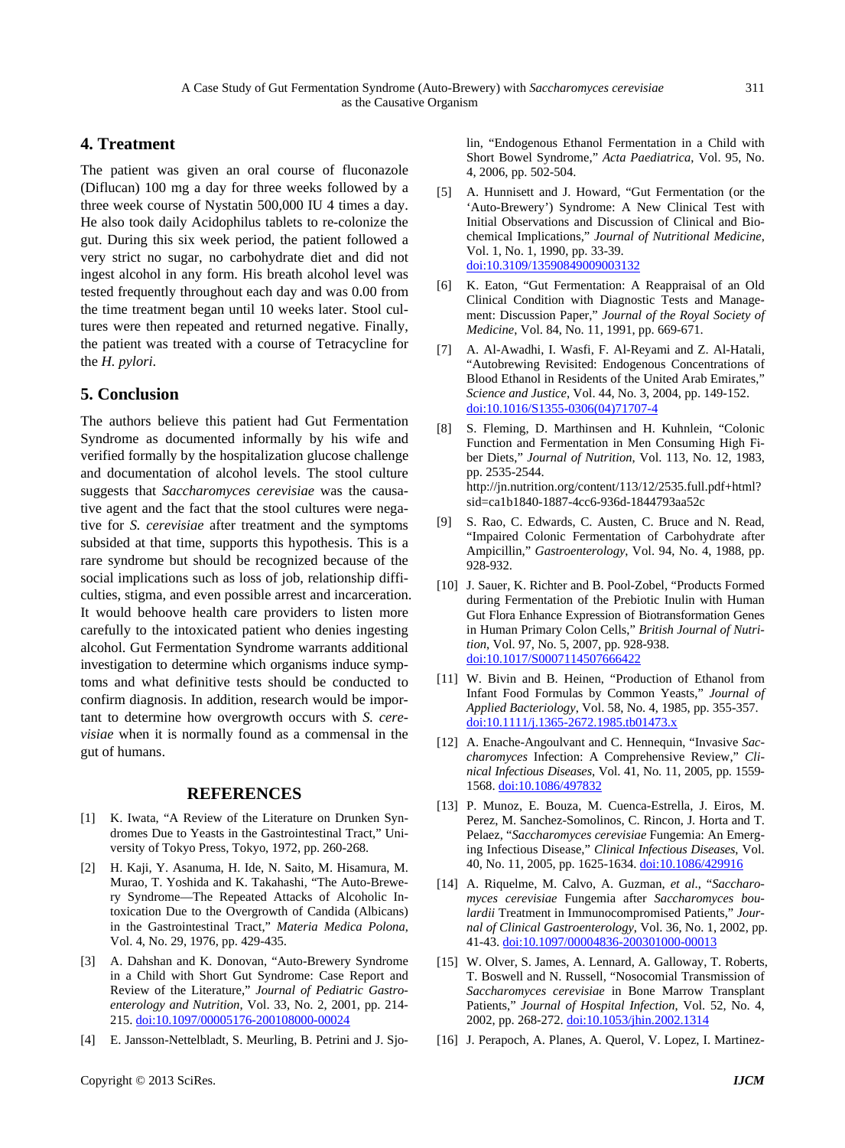# **4. Treatment**

The patient was given an oral course of fluconazole (Diflucan) 100 mg a day for three weeks followed by a three week course of Nystatin 500,000 IU 4 times a day. He also took daily Acidophilus tablets to re-colonize the gut. During this six week period, the patient followed a very strict no sugar, no carbohydrate diet and did not ingest alcohol in any form. His breath alcohol level was tested frequently throughout each day and was 0.00 from the time treatment began until 10 weeks later. Stool cultures were then repeated and returned negative. Finally, the patient was treated with a course of Tetracycline for the *H. pylori*.

## **5. Conclusion**

The authors believe this patient had Gut Fermentation Syndrome as documented informally by his wife and verified formally by the hospitalization glucose challenge and documentation of alcohol levels. The stool culture suggests that *Saccharomyces cerevisiae* was the causative agent and the fact that the stool cultures were negative for *S. cerevisiae* after treatment and the symptoms subsided at that time, supports this hypothesis. This is a rare syndrome but should be recognized because of the social implications such as loss of job, relationship difficulties, stigma, and even possible arrest and incarceration. It would behoove health care providers to listen more carefully to the intoxicated patient who denies ingesting alcohol. Gut Fermentation Syndrome warrants additional investigation to determine which organisms induce symptoms and what definitive tests should be conducted to confirm diagnosis. In addition, research would be important to determine how overgrowth occurs with *S. cerevisiae* when it is normally found as a commensal in the gut of humans.

#### **REFERENCES**

- [1] K. Iwata, "A Review of the Literature on Drunken Syndromes Due to Yeasts in the Gastrointestinal Tract," University of Tokyo Press, Tokyo, 1972, pp. 260-268.
- [2] H. Kaji, Y. Asanuma, H. Ide, N. Saito, M. Hisamura, M. Murao, T. Yoshida and K. Takahashi, "The Auto-Brewery Syndrome—The Repeated Attacks of Alcoholic Intoxication Due to the Overgrowth of Candida (Albicans) in the Gastrointestinal Tract," *Materia Medica Polona*, Vol. 4, No. 29, 1976, pp. 429-435.
- [3] A. Dahshan and K. Donovan, "Auto-Brewery Syndrome in a Child with Short Gut Syndrome: Case Report and Review of the Literature," *Journal of Pediatric Gastroenterology and Nutrition*, Vol. 33, No. 2, 2001, pp. 214- 215. [doi:10.1097/00005176-200108000-00024](http://dx.doi.org/10.1097/00005176-200108000-00024)
- [4] E. Jansson-Nettelbladt, S. Meurling, B. Petrini and J. Sjo-

lin, "Endogenous Ethanol Fermentation in a Child with Short Bowel Syndrome," *Acta Paediatrica*, Vol. 95, No. 4, 2006, pp. 502-504.

- [5] A. Hunnisett and J. Howard, "Gut Fermentation (or the 'Auto-Brewery') Syndrome: A New Clinical Test with Initial Observations and Discussion of Clinical and Biochemical Implications," *Journal of Nutritional Medicine*, Vol. 1, No. 1, 1990, pp. 33-39. [doi:10.3109/13590849009003132](http://dx.doi.org/10.3109/13590849009003132)
- [6] K. Eaton, "Gut Fermentation: A Reappraisal of an Old Clinical Condition with Diagnostic Tests and Management: Discussion Paper," *Journal of the Royal Society of Medicine*, Vol. 84, No. 11, 1991, pp. 669-671.
- [7] A. Al-Awadhi, I. Wasfi, F. Al-Reyami and Z. Al-Hatali, "Autobrewing Revisited: Endogenous Concentrations of Blood Ethanol in Residents of the United Arab Emirates," *Science and Justice*, Vol. 44, No. 3, 2004, pp. 149-152. [doi:10.1016/S1355-0306\(04\)71707-4](http://dx.doi.org/10.1016/S1355-0306(04)71707-4)
- [8] S. Fleming, D. Marthinsen and H. Kuhnlein, "Colonic Function and Fermentation in Men Consuming High Fiber Diets," *Journal of Nutrition*, Vol. 113, No. 12, 1983, pp. 2535-2544. http://jn.nutrition.org/content/113/12/2535.full.pdf+html? sid=ca1b1840-1887-4cc6-936d-1844793aa52c
- [9] S. Rao, C. Edwards, C. Austen, C. Bruce and N. Read, "Impaired Colonic Fermentation of Carbohydrate after Ampicillin," *Gastroenterology*, Vol. 94, No. 4, 1988, pp. 928-932.
- [10] J. Sauer, K. Richter and B. Pool-Zobel, "Products Formed during Fermentation of the Prebiotic Inulin with Human Gut Flora Enhance Expression of Biotransformation Genes in Human Primary Colon Cells," *British Journal of Nutrition*, Vol. 97, No. 5, 2007, pp. 928-938. [doi:10.1017/S0007114507666422](http://dx.doi.org/10.1017/S0007114507666422)
- [11] W. Bivin and B. Heinen, "Production of Ethanol from Infant Food Formulas by Common Yeasts," *Journal of Applied Bacteriology*, Vol. 58, No. 4, 1985, pp. 355-357. [doi:10.1111/j.1365-2672.1985.tb01473.x](http://dx.doi.org/10.1111/j.1365-2672.1985.tb01473.x)
- [12] A. Enache-Angoulvant and C. Hennequin, "Invasive *Saccharomyces* Infection: A Comprehensive Review," *Clinical Infectious Diseases*, Vol. 41, No. 11, 2005, pp. 1559 1568. [doi:10.1086/497832](http://dx.doi.org/10.1086/497832)
- [13] P. Munoz, E. Bouza, M. Cuenca-Estrella, J. Eiros, M. Perez, M. Sanchez-Somolinos, C. Rincon, J. Horta and T. Pelaez, "*Saccharomyces cerevisiae* Fungemia: An Emerging Infectious Disease," *Clinical Infectious Diseases*, Vol. 40, No. 11, 2005, pp. 1625-1634. [doi:10.1086/429916](http://dx.doi.org/10.1086/429916)
- [14] A. Riquelme, M. Calvo, A. Guzman, *et al*., "*Saccharomyces cerevisiae* Fungemia after *Saccharomyces boulardii* Treatment in Immunocompromised Patients," *Journal of Clinical Gastroenterology*, Vol. 36, No. 1, 2002, pp. 41-43. [doi:10.1097/00004836-200301000-00013](http://dx.doi.org/10.1097/00004836-200301000-00013)
- [15] W. Olver, S. James, A. Lennard, A. Galloway, T. Roberts, T. Boswell and N. Russell, "Nosocomial Transmission of *Saccharomyces cerevisiae* in Bone Marrow Transplant Patients," *Journal of Hospital Infection*, Vol. 52, No. 4, 2002, pp. 268-272. [doi:10.1053/jhin.2002.1314](http://dx.doi.org/10.1053/jhin.2002.1314)
- [16] J. Perapoch, A. Planes, A. Querol, V. Lopez, I. Martinez-